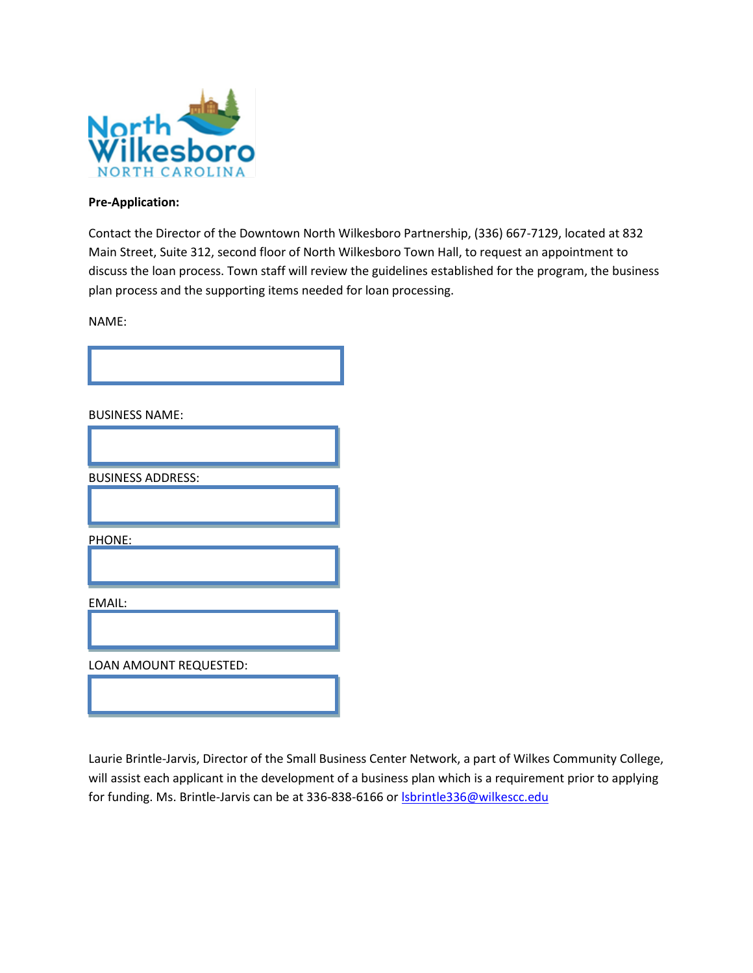

## **Pre-Application:**

Contact the Director of the Downtown North Wilkesboro Partnership, (336) 667-7129, located at 832 Main Street, Suite 312, second floor of North Wilkesboro Town Hall, to request an appointment to discuss the loan process. Town staff will review the guidelines established for the program, the business plan process and the supporting items needed for loan processing.

NAME:



BUSINESS NAME:

| <b>BUSINESS ADDRESS:</b> |
|--------------------------|
|                          |
| PHONE:                   |
|                          |
| EMAIL:                   |
|                          |
| LOAN AMOUNT REQUESTED:   |
|                          |

Laurie Brintle-Jarvis, Director of the Small Business Center Network, a part of Wilkes Community College, will assist each applicant in the development of a business plan which is a requirement prior to applying for funding. Ms. Brintle-Jarvis can be at 336-838-6166 or **Isbrintle336@wilkescc.edu**